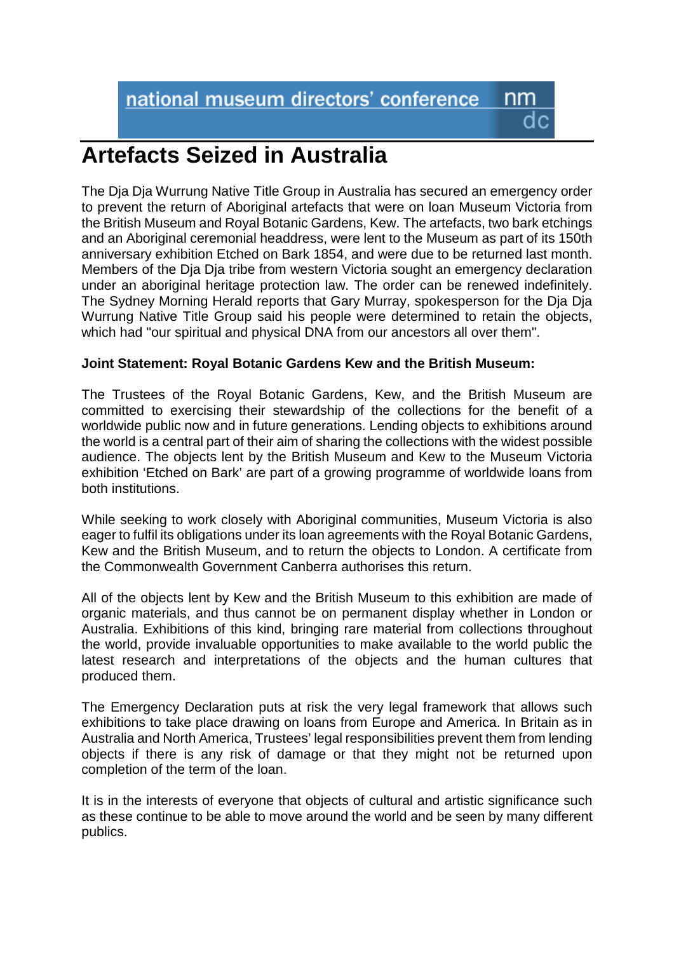nm

## **Artefacts Seized in Australia**

The Dja Dja Wurrung Native Title Group in Australia has secured an emergency order to prevent the return of Aboriginal artefacts that were on loan Museum Victoria from the British Museum and Royal Botanic Gardens, Kew. The artefacts, two bark etchings and an Aboriginal ceremonial headdress, were lent to the Museum as part of its 150th anniversary exhibition Etched on Bark 1854, and were due to be returned last month. Members of the Dja Dja tribe from western Victoria sought an emergency declaration under an aboriginal heritage protection law. The order can be renewed indefinitely. The Sydney Morning Herald reports that Gary Murray, spokesperson for the Dja Dja Wurrung Native Title Group said his people were determined to retain the objects, which had "our spiritual and physical DNA from our ancestors all over them".

## **Joint Statement: Royal Botanic Gardens Kew and the British Museum:**

The Trustees of the Royal Botanic Gardens, Kew, and the British Museum are committed to exercising their stewardship of the collections for the benefit of a worldwide public now and in future generations. Lending objects to exhibitions around the world is a central part of their aim of sharing the collections with the widest possible audience. The objects lent by the British Museum and Kew to the Museum Victoria exhibition 'Etched on Bark' are part of a growing programme of worldwide loans from both institutions.

While seeking to work closely with Aboriginal communities, Museum Victoria is also eager to fulfil its obligations under its loan agreements with the Royal Botanic Gardens, Kew and the British Museum, and to return the objects to London. A certificate from the Commonwealth Government Canberra authorises this return.

All of the objects lent by Kew and the British Museum to this exhibition are made of organic materials, and thus cannot be on permanent display whether in London or Australia. Exhibitions of this kind, bringing rare material from collections throughout the world, provide invaluable opportunities to make available to the world public the latest research and interpretations of the objects and the human cultures that produced them.

The Emergency Declaration puts at risk the very legal framework that allows such exhibitions to take place drawing on loans from Europe and America. In Britain as in Australia and North America, Trustees' legal responsibilities prevent them from lending objects if there is any risk of damage or that they might not be returned upon completion of the term of the loan.

It is in the interests of everyone that objects of cultural and artistic significance such as these continue to be able to move around the world and be seen by many different publics.